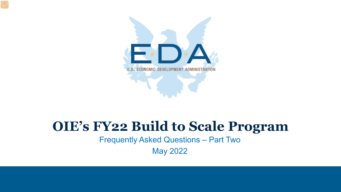

### **OIE's FY22 Build to Scale Program**

Frequently Asked Questions – Part Two

May 2022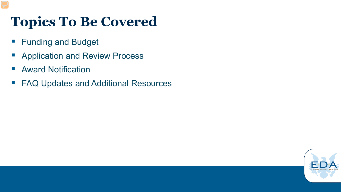# **Topics To Be Covered**

- **Funding and Budget**
- **Application and Review Process**
- **Award Notification**
- FAQ Updates and Additional Resources

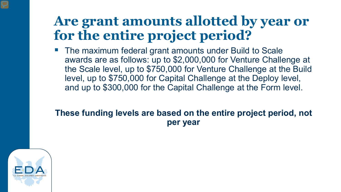## **Are grant amounts allotted by year or for the entire project period?**

 The maximum federal grant amounts under Build to Scale awards are as follows: up to \$2,000,000 for Venture Challenge at the Scale level, up to \$750,000 for Venture Challenge at the Build level, up to \$750,000 for Capital Challenge at the Deploy level, and up to \$300,000 for the Capital Challenge at the Form level.

#### **These funding levels are based on the entire project period, not per year**

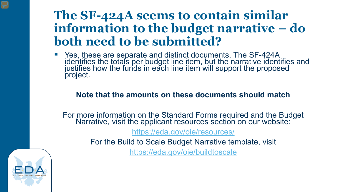#### **The SF-424A seems to contain similar information to the budget narrative – do both need to be submitted?**

■ Yes, these are separate and distinct documents. The SF-424A identifies the totals per budget line item, but the narrative identifies and justifies how the funds in each line item will support the proposed project.

#### **Note that the amounts on these documents should match**

For more information on the Standard Forms required and the Budget Narrative, visit the applicant resources section on our website:

<https://eda.gov/oie/resources/>

For the Build to Scale Budget Narrative template, visit

<https://eda.gov/oie/buildtoscale>

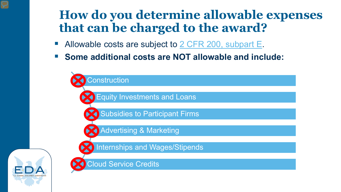### **How do you determine allowable expenses that can be charged to the award?**

- Allowable costs are subject to 2 [CFR 200, subpart E.](https://www.ecfr.gov/current/title-2/subtitle-A/chapter-II/part-200/subpart-E/subject-group-ECFRed1f39f9b3d4e72/section-200.465)
- **Some additional costs are NOT allowable and include:**

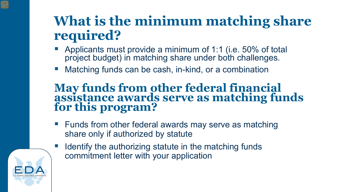# **What is the minimum matching share required?**

- **Applicants must provide a minimum of 1:1 (i.e. 50% of total** project budget) in matching share under both challenges.
- Matching funds can be cash, in-kind, or a combination

#### **May funds from other federal financial assistance awards serve as matching funds for this program?**

- Funds from other federal awards may serve as matching share only if authorized by statute
- Identify the authorizing statute in the matching funds commitment letter with your application

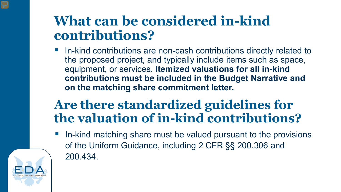# **What can be considered in-kind contributions?**

 In-kind contributions are non-cash contributions directly related to the proposed project, and typically include items such as space, equipment, or services. **Itemized valuations for all in-kind contributions must be included in the Budget Narrative and on the matching share commitment letter.**

## **Are there standardized guidelines for the valuation of in-kind contributions?**

 In-kind matching share must be valued pursuant to the provisions of the Uniform Guidance, including 2 CFR §§ 200.306 and 200.434.

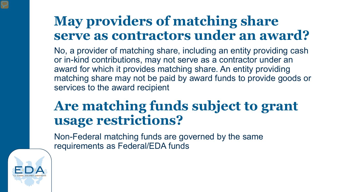# **May providers of matching share serve as contractors under an award?**

No, a provider of matching share, including an entity providing cash or in-kind contributions, may not serve as a contractor under an award for which it provides matching share. An entity providing matching share may not be paid by award funds to provide goods or services to the award recipient

## **Are matching funds subject to grant usage restrictions?**

Non-Federal matching funds are governed by the same requirements as Federal/EDA funds

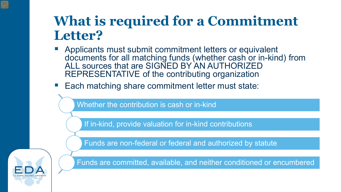# **What is required for a Commitment Letter?**

- **Applicants must submit commitment letters or equivalent** documents for all matching funds (whether cash or in-kind) from ALL sources that are SIGNED BY AN AUTHORIZED REPRESENTATIVE of the contributing organization
- Each matching share commitment letter must state:

Whether the contribution is cash or in-kind

If in-kind, provide valuation for in-kind contributions

Funds are non-federal or federal and authorized by statute

Funds are committed, available, and neither conditioned or encumbered

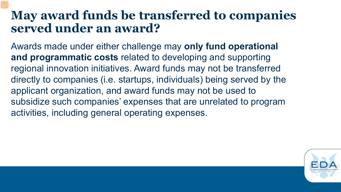#### **May award funds be transferred to companies served under an award?**

Awards made under either challenge may **only fund operational and programmatic costs** related to developing and supporting regional innovation initiatives. Award funds may not be transferred directly to companies (i.e. startups, individuals) being served by the applicant organization, and award funds may not be used to subsidize such companies' expenses that are unrelated to program activities, including general operating expenses.

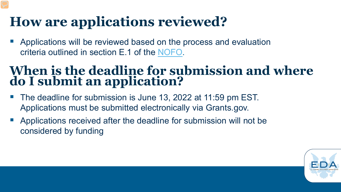# **How are applications reviewed?**

 Applications will be reviewed based on the process and evaluation criteria outlined in section E.1 of the [NOFO.](https://eda.gov/files/oie/b2s/fy22/FY22-Build-to-Scale-NOFO.pdf)

#### **When is the deadline for submission and where do I submit an application?**

- The deadline for submission is June 13, 2022 at 11:59 pm EST. Applications must be submitted electronically via Grants.gov.
- Applications received after the deadline for submission will not be considered by funding

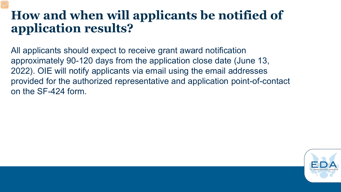#### **How and when will applicants be notified of application results?**

All applicants should expect to receive grant award notification approximately 90-120 days from the application close date (June 13, 2022). OIE will notify applicants via email using the email addresses provided for the authorized representative and application point-of-contact on the SF-424 form.